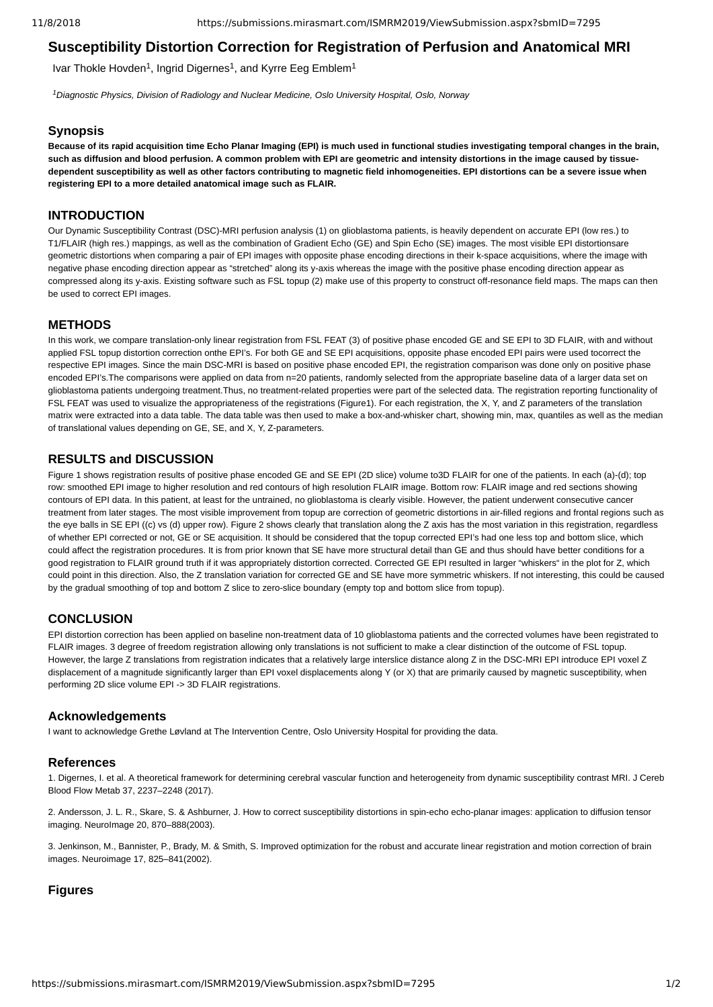# **Susceptibility Distortion Correction for Registration of Perfusion and Anatomical MRI**

Ivar Thokle Hovden<sup>1</sup>, Ingrid Digernes<sup>1</sup>, and Kyrre Eeg Emblem<sup>1</sup>

*Diagnostic Physics, Division of Radiology and Nuclear Medicine, Oslo University Hospital, Oslo, Norway 1*

## **Synopsis**

**Because of its rapid acquisition time Echo Planar Imaging (EPI) is much used in functional studies investigating temporal changes in the brain, such as diffusion and blood perfusion. A common problem with EPI are geometric and intensity distortions in the image caused by tissuedependent susceptibility as well as other factors contributing to magnetic field inhomogeneities. EPI distortions can be a severe issue when registering EPI to a more detailed anatomical image such as FLAIR.**

# **INTRODUCTION**

Our Dynamic Susceptibility Contrast (DSC)-MRI perfusion analysis (1) on glioblastoma patients, is heavily dependent on accurate EPI (low res.) to T1/FLAIR (high res.) mappings, as well as the combination of Gradient Echo (GE) and Spin Echo (SE) images. The most visible EPI distortionsare geometric distortions when comparing a pair of EPI images with opposite phase encoding directions in their k-space acquisitions, where the image with negative phase encoding direction appear as "stretched" along its y-axis whereas the image with the positive phase encoding direction appear as compressed along its y-axis. Existing software such as FSL topup (2) make use of this property to construct off-resonance field maps. The maps can then be used to correct EPI images.

# **METHODS**

In this work, we compare translation-only linear registration from FSL FEAT (3) of positive phase encoded GE and SE EPI to 3D FLAIR, with and without applied FSL topup distortion correction onthe EPI's. For both GE and SE EPI acquisitions, opposite phase encoded EPI pairs were used tocorrect the respective EPI images. Since the main DSC-MRI is based on positive phase encoded EPI, the registration comparison was done only on positive phase encoded EPI's.The comparisons were applied on data from n=20 patients, randomly selected from the appropriate baseline data of a larger data set on glioblastoma patients undergoing treatment.Thus, no treatment-related properties were part of the selected data. The registration reporting functionality of FSL FEAT was used to visualize the appropriateness of the registrations (Figure1). For each registration, the X, Y, and Z parameters of the translation matrix were extracted into a data table. The data table was then used to make a box-and-whisker chart, showing min, max, quantiles as well as the median of translational values depending on GE, SE, and X, Y, Z-parameters.

#### **RESULTS and DISCUSSION**

Figure 1 shows registration results of positive phase encoded GE and SE EPI (2D slice) volume to3D FLAIR for one of the patients. In each (a)-(d); top row: smoothed EPI image to higher resolution and red contours of high resolution FLAIR image. Bottom row: FLAIR image and red sections showing contours of EPI data. In this patient, at least for the untrained, no glioblastoma is clearly visible. However, the patient underwent consecutive cancer treatment from later stages. The most visible improvement from topup are correction of geometric distortions in air-filled regions and frontal regions such as the eye balls in SE EPI ((c) vs (d) upper row). Figure 2 shows clearly that translation along the Z axis has the most variation in this registration, regardless of whether EPI corrected or not, GE or SE acquisition. It should be considered that the topup corrected EPI's had one less top and bottom slice, which could affect the registration procedures. It is from prior known that SE have more structural detail than GE and thus should have better conditions for a good registration to FLAIR ground truth if it was appropriately distortion corrected. Corrected GE EPI resulted in larger "whiskers" in the plot for Z, which could point in this direction. Also, the Z translation variation for corrected GE and SE have more symmetric whiskers. If not interesting, this could be caused by the gradual smoothing of top and bottom Z slice to zero-slice boundary (empty top and bottom slice from topup).

# **CONCLUSION**

EPI distortion correction has been applied on baseline non-treatment data of 10 glioblastoma patients and the corrected volumes have been registrated to FLAIR images. 3 degree of freedom registration allowing only translations is not sufficient to make a clear distinction of the outcome of FSL topup. However, the large Z translations from registration indicates that a relatively large interslice distance along Z in the DSC-MRI EPI introduce EPI voxel Z displacement of a magnitude significantly larger than EPI voxel displacements along Y (or X) that are primarily caused by magnetic susceptibility, when performing 2D slice volume EPI -> 3D FLAIR registrations.

## **Acknowledgements**

I want to acknowledge Grethe Løvland at The Intervention Centre, Oslo University Hospital for providing the data.

### **References**

1. Digernes, I. et al. A theoretical framework for determining cerebral vascular function and heterogeneity from dynamic susceptibility contrast MRI. J Cereb Blood Flow Metab 37, 2237–2248 (2017).

2. Andersson, J. L. R., Skare, S. & Ashburner, J. How to correct susceptibility distortions in spin-echo echo-planar images: application to diffusion tensor imaging. NeuroImage 20, 870–888(2003).

3. Jenkinson, M., Bannister, P., Brady, M. & Smith, S. Improved optimization for the robust and accurate linear registration and motion correction of brain images. Neuroimage 17, 825–841(2002).

# **Figures**